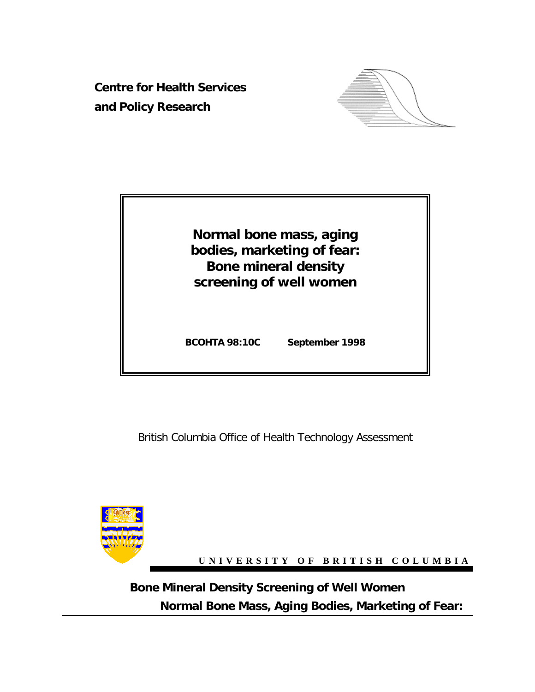**Centre for Health Services and Policy Research**





British Columbia Office of Health Technology Assessment



**UNIVERSITY OF BRITISH COLUMBIA**

**Normal Bone Mass, Aging Bodies, Marketing of Fear: Bone Mineral Density Screening of Well Women**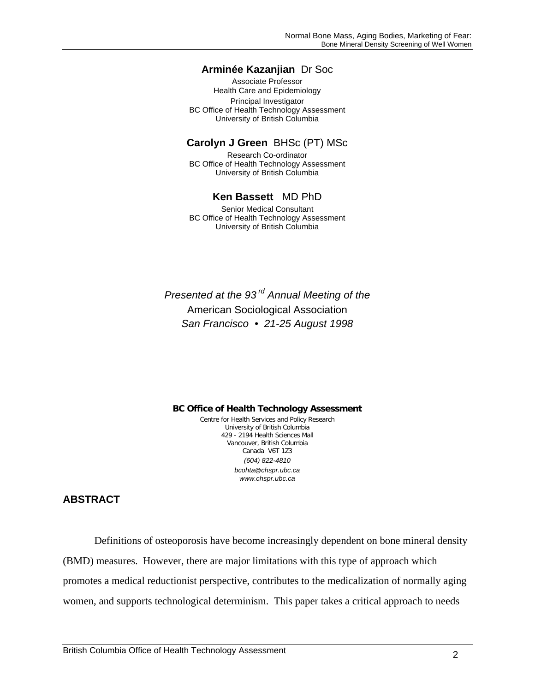### **Arminée Kazanjian** Dr Soc

Associate Professor Health Care and Epidemiology Principal Investigator BC Office of Health Technology Assessment University of British Columbia

#### **Carolyn J Green** BHSc (PT) MSc

Research Co-ordinator BC Office of Health Technology Assessment University of British Columbia

### **Ken Bassett** MD PhD

Senior Medical Consultant BC Office of Health Technology Assessment University of British Columbia

*Presented at the 93 rd Annual Meeting of the* American Sociological Association *San Francisco • 21-25 August 1998*

**BC Office of Health Technology Assessment** Centre for Health Services and Policy Research

University of British Columbia 429 - 2194 Health Sciences Mall Vancouver, British Columbia Canada V6T 1Z3 *(604) 822-4810 bcohta@chspr.ubc.ca www.chspr.ubc.ca*

## **ABSTRACT**

Definitions of osteoporosis have become increasingly dependent on bone mineral density (BMD) measures. However, there are major limitations with this type of approach which promotes a medical reductionist perspective, contributes to the medicalization of normally aging women, and supports technological determinism. This paper takes a critical approach to needs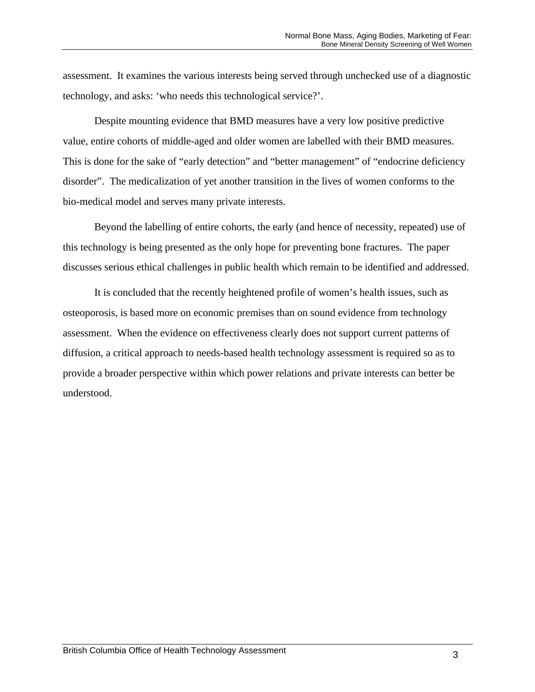assessment. It examines the various interests being served through unchecked use of a diagnostic technology, and asks: 'who needs this technological service?'.

Despite mounting evidence that BMD measures have a very low positive predictive value, entire cohorts of middle-aged and older women are labelled with their BMD measures. This is done for the sake of "early detection" and "better management" of "endocrine deficiency disorder". The medicalization of yet another transition in the lives of women conforms to the bio-medical model and serves many private interests.

Beyond the labelling of entire cohorts, the early (and hence of necessity, repeated) use of this technology is being presented as the only hope for preventing bone fractures. The paper discusses serious ethical challenges in public health which remain to be identified and addressed.

It is concluded that the recently heightened profile of women's health issues, such as osteoporosis, is based more on economic premises than on sound evidence from technology assessment. When the evidence on effectiveness clearly does not support current patterns of diffusion, a critical approach to needs-based health technology assessment is required so as to provide a broader perspective within which power relations and private interests can better be understood.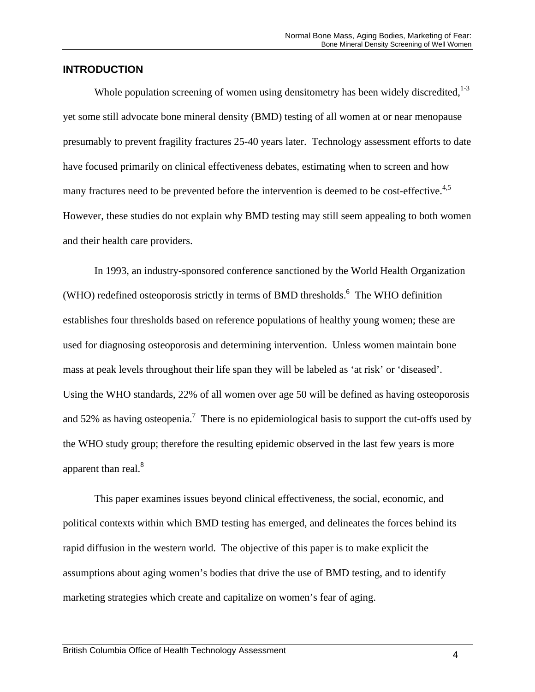### **INTRODUCTION**

Whole population screening of women using densitometry has been widely discredited,  $1-3$ yet some still advocate bone mineral density (BMD) testing of all women at or near menopause presumably to prevent fragility fractures 25-40 years later. Technology assessment efforts to date have focused primarily on clinical effectiveness debates, estimating when to screen and how many fractures need to be prevented before the intervention is deemed to be cost-effective.<sup>4,5</sup> However, these studies do not explain why BMD testing may still seem appealing to both women and their health care providers.

In 1993, an industry-sponsored conference sanctioned by the World Health Organization (WHO) redefined osteoporosis strictly in terms of BMD thresholds.<sup>6</sup> The WHO definition establishes four thresholds based on reference populations of healthy young women; these are used for diagnosing osteoporosis and determining intervention. Unless women maintain bone mass at peak levels throughout their life span they will be labeled as 'at risk' or 'diseased'. Using the WHO standards, 22% of all women over age 50 will be defined as having osteoporosis and 52% as having osteopenia.<sup>7</sup> There is no epidemiological basis to support the cut-offs used by the WHO study group; therefore the resulting epidemic observed in the last few years is more apparent than real.<sup>8</sup>

This paper examines issues beyond clinical effectiveness, the social, economic, and political contexts within which BMD testing has emerged, and delineates the forces behind its rapid diffusion in the western world. The objective of this paper is to make explicit the assumptions about aging women's bodies that drive the use of BMD testing, and to identify marketing strategies which create and capitalize on women's fear of aging.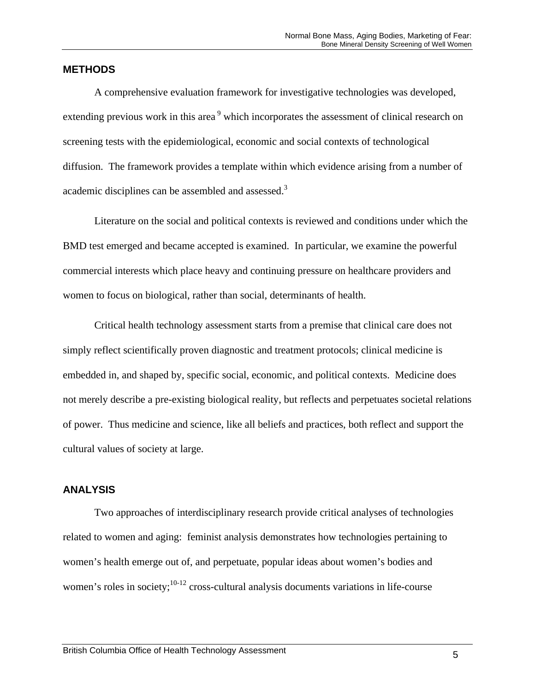### **METHODS**

A comprehensive evaluation framework for investigative technologies was developed, extending previous work in this area<sup>9</sup> which incorporates the assessment of clinical research on screening tests with the epidemiological, economic and social contexts of technological diffusion. The framework provides a template within which evidence arising from a number of academic disciplines can be assembled and assessed.<sup>3</sup>

Literature on the social and political contexts is reviewed and conditions under which the BMD test emerged and became accepted is examined. In particular, we examine the powerful commercial interests which place heavy and continuing pressure on healthcare providers and women to focus on biological, rather than social, determinants of health.

Critical health technology assessment starts from a premise that clinical care does not simply reflect scientifically proven diagnostic and treatment protocols; clinical medicine is embedded in, and shaped by, specific social, economic, and political contexts. Medicine does not merely describe a pre-existing biological reality, but reflects and perpetuates societal relations of power. Thus medicine and science, like all beliefs and practices, both reflect and support the cultural values of society at large.

## **ANALYSIS**

Two approaches of interdisciplinary research provide critical analyses of technologies related to women and aging: feminist analysis demonstrates how technologies pertaining to women's health emerge out of, and perpetuate, popular ideas about women's bodies and women's roles in society;  $10^{-12}$  cross-cultural analysis documents variations in life-course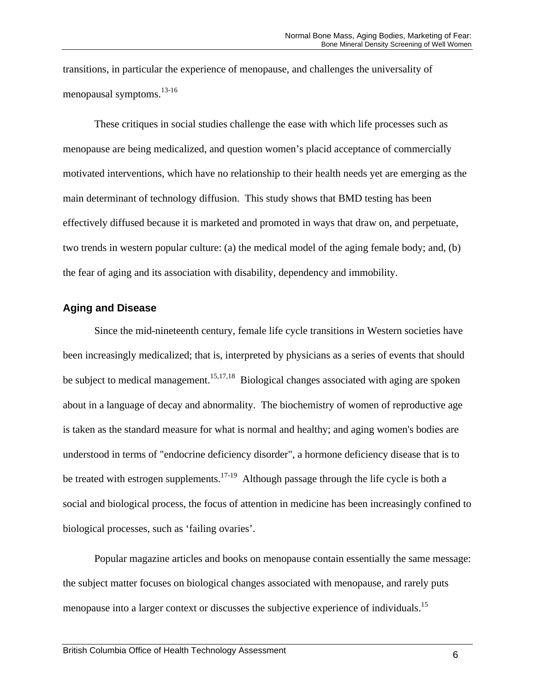transitions, in particular the experience of menopause, and challenges the universality of menopausal symptoms.<sup>13-16</sup>

These critiques in social studies challenge the ease with which life processes such as menopause are being medicalized, and question women's placid acceptance of commercially motivated interventions, which have no relationship to their health needs yet are emerging as the main determinant of technology diffusion. This study shows that BMD testing has been effectively diffused because it is marketed and promoted in ways that draw on, and perpetuate, two trends in western popular culture: (a) the medical model of the aging female body; and, (b) the fear of aging and its association with disability, dependency and immobility.

# **Aging and Disease**

Since the mid-nineteenth century, female life cycle transitions in Western societies have been increasingly medicalized; that is, interpreted by physicians as a series of events that should be subject to medical management.<sup>15,17,18</sup> Biological changes associated with aging are spoken about in a language of decay and abnormality. The biochemistry of women of reproductive age is taken as the standard measure for what is normal and healthy; and aging women's bodies are understood in terms of "endocrine deficiency disorder", a hormone deficiency disease that is to be treated with estrogen supplements.<sup>17-19</sup> Although passage through the life cycle is both a social and biological process, the focus of attention in medicine has been increasingly confined to biological processes, such as 'failing ovaries'.

Popular magazine articles and books on menopause contain essentially the same message: the subject matter focuses on biological changes associated with menopause, and rarely puts menopause into a larger context or discusses the subjective experience of individuals.<sup>15</sup>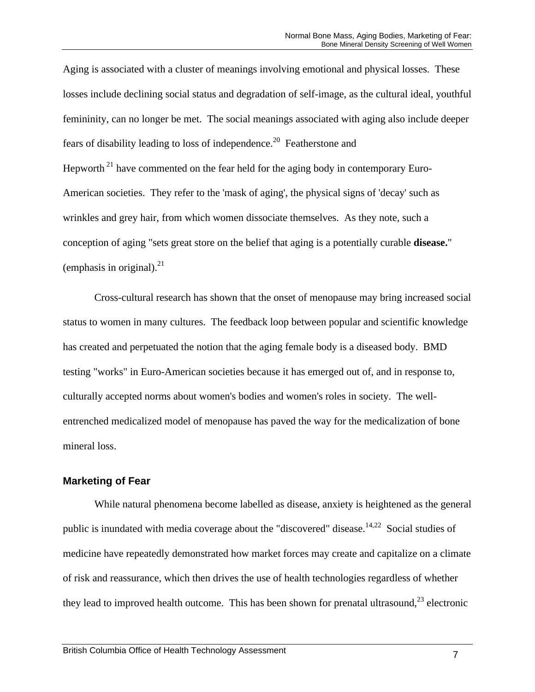Aging is associated with a cluster of meanings involving emotional and physical losses. These losses include declining social status and degradation of self-image, as the cultural ideal, youthful femininity, can no longer be met. The social meanings associated with aging also include deeper fears of disability leading to loss of independence.<sup>20</sup> Featherstone and Hepworth<sup>21</sup> have commented on the fear held for the aging body in contemporary Euro-American societies. They refer to the 'mask of aging', the physical signs of 'decay' such as wrinkles and grey hair, from which women dissociate themselves. As they note, such a conception of aging "sets great store on the belief that aging is a potentially curable **disease.**" (emphasis in original). $^{21}$ 

Cross-cultural research has shown that the onset of menopause may bring increased social status to women in many cultures. The feedback loop between popular and scientific knowledge has created and perpetuated the notion that the aging female body is a diseased body. BMD testing "works" in Euro-American societies because it has emerged out of, and in response to, culturally accepted norms about women's bodies and women's roles in society. The wellentrenched medicalized model of menopause has paved the way for the medicalization of bone mineral loss.

### **Marketing of Fear**

While natural phenomena become labelled as disease, anxiety is heightened as the general public is inundated with media coverage about the "discovered" disease.<sup>14,22</sup> Social studies of medicine have repeatedly demonstrated how market forces may create and capitalize on a climate of risk and reassurance, which then drives the use of health technologies regardless of whether they lead to improved health outcome. This has been shown for prenatal ultrasound, $^{23}$  electronic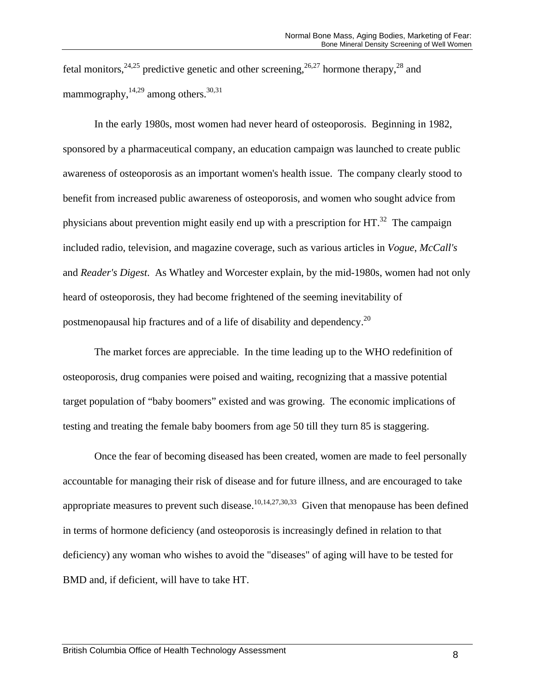fetal monitors,  $24.25$  predictive genetic and other screening,  $26.27$  hormone therapy,  $28$  and mammography, $^{14,29}$  among others.<sup>30,31</sup>

In the early 1980s, most women had never heard of osteoporosis. Beginning in 1982, sponsored by a pharmaceutical company, an education campaign was launched to create public awareness of osteoporosis as an important women's health issue. The company clearly stood to benefit from increased public awareness of osteoporosis, and women who sought advice from physicians about prevention might easily end up with a prescription for  $HT<sup>32</sup>$ . The campaign included radio, television, and magazine coverage, such as various articles in *Vogue*, *McCall's* and *Reader's Digest*. As Whatley and Worcester explain, by the mid-1980s, women had not only heard of osteoporosis, they had become frightened of the seeming inevitability of postmenopausal hip fractures and of a life of disability and dependency.<sup>20</sup>

The market forces are appreciable. In the time leading up to the WHO redefinition of osteoporosis, drug companies were poised and waiting, recognizing that a massive potential target population of "baby boomers" existed and was growing. The economic implications of testing and treating the female baby boomers from age 50 till they turn 85 is staggering.

Once the fear of becoming diseased has been created, women are made to feel personally accountable for managing their risk of disease and for future illness, and are encouraged to take appropriate measures to prevent such disease.<sup>10,14,27,30,33</sup> Given that menopause has been defined in terms of hormone deficiency (and osteoporosis is increasingly defined in relation to that deficiency) any woman who wishes to avoid the "diseases" of aging will have to be tested for BMD and, if deficient, will have to take HT.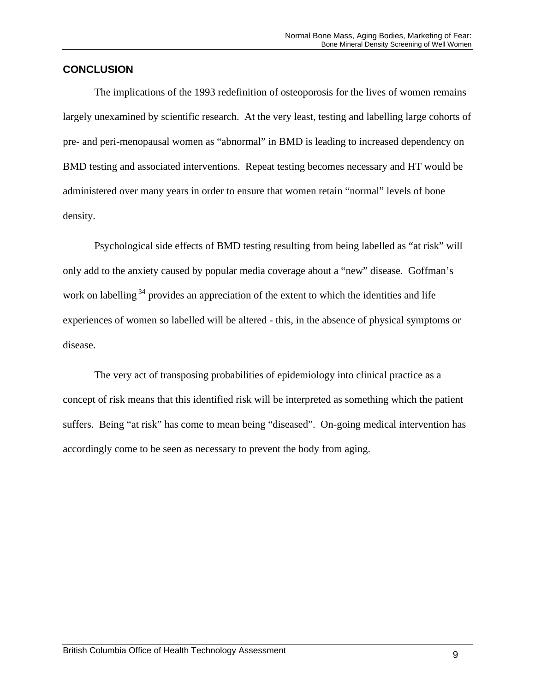## **CONCLUSION**

The implications of the 1993 redefinition of osteoporosis for the lives of women remains largely unexamined by scientific research. At the very least, testing and labelling large cohorts of pre- and peri-menopausal women as "abnormal" in BMD is leading to increased dependency on BMD testing and associated interventions. Repeat testing becomes necessary and HT would be administered over many years in order to ensure that women retain "normal" levels of bone density.

Psychological side effects of BMD testing resulting from being labelled as "at risk" will only add to the anxiety caused by popular media coverage about a "new" disease. Goffman's work on labelling<sup>34</sup> provides an appreciation of the extent to which the identities and life experiences of women so labelled will be altered - this, in the absence of physical symptoms or disease.

The very act of transposing probabilities of epidemiology into clinical practice as a concept of risk means that this identified risk will be interpreted as something which the patient suffers. Being "at risk" has come to mean being "diseased". On-going medical intervention has accordingly come to be seen as necessary to prevent the body from aging.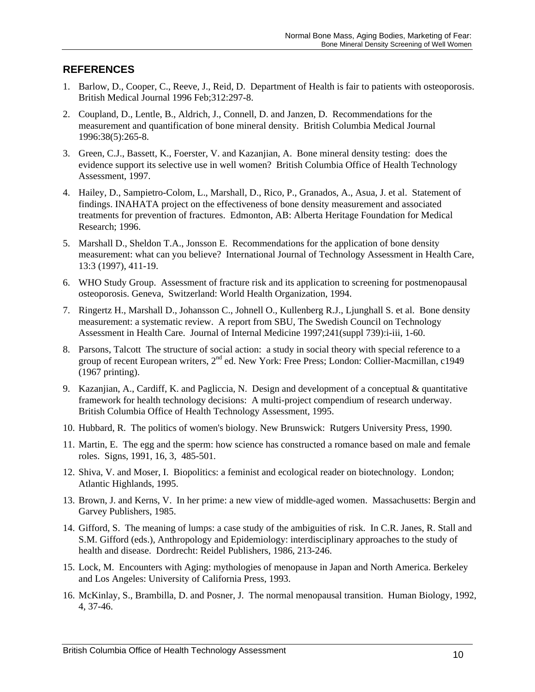# **REFERENCES**

- 1. Barlow, D., Cooper, C., Reeve, J., Reid, D. Department of Health is fair to patients with osteoporosis. British Medical Journal 1996 Feb;312:297-8.
- 2. Coupland, D., Lentle, B., Aldrich, J., Connell, D. and Janzen, D. Recommendations for the measurement and quantification of bone mineral density. British Columbia Medical Journal 1996:38(5):265-8.
- 3. Green, C.J., Bassett, K., Foerster, V. and Kazanjian, A. Bone mineral density testing: does the evidence support its selective use in well women? British Columbia Office of Health Technology Assessment, 1997.
- 4. Hailey, D., Sampietro-Colom, L., Marshall, D., Rico, P., Granados, A., Asua, J. et al. Statement of findings. INAHATA project on the effectiveness of bone density measurement and associated treatments for prevention of fractures. Edmonton, AB: Alberta Heritage Foundation for Medical Research; 1996.
- 5. Marshall D., Sheldon T.A., Jonsson E. Recommendations for the application of bone density measurement: what can you believe? International Journal of Technology Assessment in Health Care, 13:3 (1997), 411-19.
- 6. WHO Study Group. Assessment of fracture risk and its application to screening for postmenopausal osteoporosis. Geneva, Switzerland: World Health Organization, 1994.
- 7. Ringertz H., Marshall D., Johansson C., Johnell O., Kullenberg R.J., Ljunghall S. et al. Bone density measurement: a systematic review. A report from SBU, The Swedish Council on Technology Assessment in Health Care. Journal of Internal Medicine 1997;241(suppl 739):i-iii, 1-60.
- 8. Parsons, Talcott The structure of social action: a study in social theory with special reference to a group of recent European writers, 2<sup>nd</sup> ed. New York: Free Press; London: Collier-Macmillan, c1949 (1967 printing).
- 9. Kazanjian, A., Cardiff, K. and Pagliccia, N. Design and development of a conceptual & quantitative framework for health technology decisions: A multi-project compendium of research underway. British Columbia Office of Health Technology Assessment, 1995.
- 10. Hubbard, R. The politics of women's biology. New Brunswick: Rutgers University Press, 1990.
- 11. Martin, E. The egg and the sperm: how science has constructed a romance based on male and female roles. Signs, 1991, 16, 3, 485-501.
- 12. Shiva, V. and Moser, I. Biopolitics: a feminist and ecological reader on biotechnology. London; Atlantic Highlands, 1995.
- 13. Brown, J. and Kerns, V. In her prime: a new view of middle-aged women. Massachusetts: Bergin and Garvey Publishers, 1985.
- 14. Gifford, S. The meaning of lumps: a case study of the ambiguities of risk. In C.R. Janes, R. Stall and S.M. Gifford (eds.), Anthropology and Epidemiology: interdisciplinary approaches to the study of health and disease. Dordrecht: Reidel Publishers, 1986, 213-246.
- 15. Lock, M. Encounters with Aging: mythologies of menopause in Japan and North America. Berkeley and Los Angeles: University of California Press, 1993.
- 16. McKinlay, S., Brambilla, D. and Posner, J. The normal menopausal transition. Human Biology, 1992, 4, 37-46.